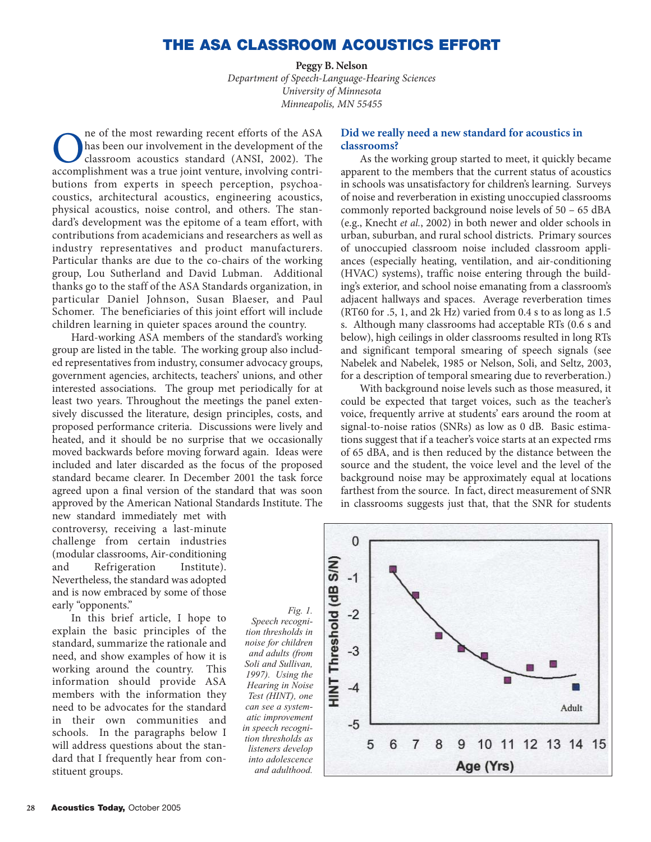# **THE ASA CLASSROOM ACOUSTICS EFFORT**

**Peggy B. Nelson** *Department of Speech-Language-Hearing Sciences University of Minnesota Minneapolis, MN 55455*

The of the most rewarding recent efforts of the ASA<br>has been our involvement in the development of the<br>classroom acoustics standard (ANSI, 2002). The<br>accomplishment was a true joint venture, involving contrihas been our involvement in the development of the classroom acoustics standard (ANSI, 2002). The accomplishment was a true joint venture, involving contributions from experts in speech perception, psychoacoustics, architectural acoustics, engineering acoustics, physical acoustics, noise control, and others. The standard's development was the epitome of a team effort, with contributions from academicians and researchers as well as industry representatives and product manufacturers. Particular thanks are due to the co-chairs of the working group, Lou Sutherland and David Lubman. Additional thanks go to the staff of the ASA Standards organization, in particular Daniel Johnson, Susan Blaeser, and Paul Schomer. The beneficiaries of this joint effort will include children learning in quieter spaces around the country.

Hard-working ASA members of the standard's working group are listed in the table. The working group also included representatives from industry, consumer advocacy groups, government agencies, architects, teachers' unions, and other interested associations. The group met periodically for at least two years. Throughout the meetings the panel extensively discussed the literature, design principles, costs, and proposed performance criteria. Discussions were lively and heated, and it should be no surprise that we occasionally moved backwards before moving forward again. Ideas were included and later discarded as the focus of the proposed standard became clearer. In December 2001 the task force agreed upon a final version of the standard that was soon approved by the American National Standards Institute. The

new standard immediately met with controversy, receiving a last-minute challenge from certain industries (modular classrooms, Air-conditioning and Refrigeration Institute). Nevertheless, the standard was adopted and is now embraced by some of those early "opponents."

In this brief article, I hope to explain the basic principles of the standard, summarize the rationale and need, and show examples of how it is working around the country. This information should provide ASA members with the information they need to be advocates for the standard in their own communities and schools. In the paragraphs below I will address questions about the standard that I frequently hear from constituent groups.

**Did we really need a new standard for acoustics in classrooms?**

As the working group started to meet, it quickly became apparent to the members that the current status of acoustics in schools was unsatisfactory for children's learning. Surveys of noise and reverberation in existing unoccupied classrooms commonly reported background noise levels of 50 – 65 dBA (e.g., Knecht *et al.*, 2002) in both newer and older schools in urban, suburban, and rural school districts. Primary sources of unoccupied classroom noise included classroom appliances (especially heating, ventilation, and air-conditioning (HVAC) systems), traffic noise entering through the building's exterior, and school noise emanating from a classroom's adjacent hallways and spaces. Average reverberation times (RT60 for .5, 1, and 2k Hz) varied from 0.4 s to as long as 1.5 s. Although many classrooms had acceptable RTs (0.6 s and below), high ceilings in older classrooms resulted in long RTs and significant temporal smearing of speech signals (see Nabelek and Nabelek, 1985 or Nelson, Soli, and Seltz, 2003, for a description of temporal smearing due to reverberation.)

With background noise levels such as those measured, it could be expected that target voices, such as the teacher's voice, frequently arrive at students' ears around the room at signal-to-noise ratios (SNRs) as low as 0 dB. Basic estimations suggest that if a teacher's voice starts at an expected rms of 65 dBA, and is then reduced by the distance between the source and the student, the voice level and the level of the background noise may be approximately equal at locations farthest from the source. In fact, direct measurement of SNR in classrooms suggests just that, that the SNR for students



*Speech recognition thresholds in noise for children and adults (from Soli and Sullivan, 1997). Using the Hearing in Noise Test (HINT), one can see a systematic improvement in speech recognition thresholds as listeners develop into adolescence and adulthood.*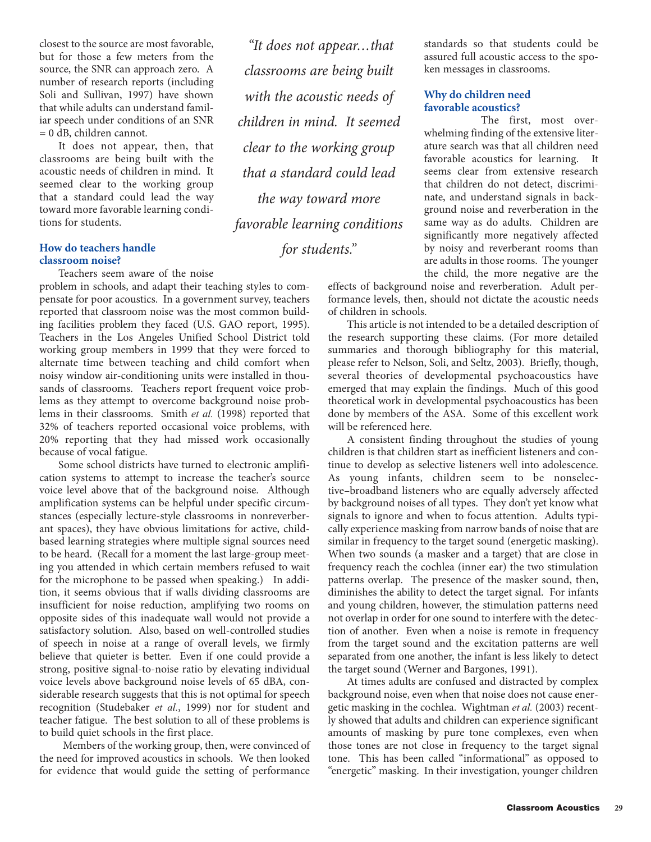closest to the source are most favorable, but for those a few meters from the source, the SNR can approach zero. A number of research reports (including Soli and Sullivan, 1997) have shown that while adults can understand familiar speech under conditions of an SNR = 0 dB, children cannot.

It does not appear, then, that classrooms are being built with the acoustic needs of children in mind. It seemed clear to the working group that a standard could lead the way toward more favorable learning conditions for students.

# **How do teachers handle classroom noise?**

Teachers seem aware of the noise

problem in schools, and adapt their teaching styles to compensate for poor acoustics. In a government survey, teachers reported that classroom noise was the most common building facilities problem they faced (U.S. GAO report, 1995). Teachers in the Los Angeles Unified School District told working group members in 1999 that they were forced to alternate time between teaching and child comfort when noisy window air-conditioning units were installed in thousands of classrooms. Teachers report frequent voice problems as they attempt to overcome background noise problems in their classrooms. Smith *et al.* (1998) reported that 32% of teachers reported occasional voice problems, with 20% reporting that they had missed work occasionally because of vocal fatigue.

Some school districts have turned to electronic amplification systems to attempt to increase the teacher's source voice level above that of the background noise. Although amplification systems can be helpful under specific circumstances (especially lecture-style classrooms in nonreverberant spaces), they have obvious limitations for active, childbased learning strategies where multiple signal sources need to be heard. (Recall for a moment the last large-group meeting you attended in which certain members refused to wait for the microphone to be passed when speaking.) In addition, it seems obvious that if walls dividing classrooms are insufficient for noise reduction, amplifying two rooms on opposite sides of this inadequate wall would not provide a satisfactory solution. Also, based on well-controlled studies of speech in noise at a range of overall levels, we firmly believe that quieter is better. Even if one could provide a strong, positive signal-to-noise ratio by elevating individual voice levels above background noise levels of 65 dBA, considerable research suggests that this is not optimal for speech recognition (Studebaker *et al.*, 1999) nor for student and teacher fatigue. The best solution to all of these problems is to build quiet schools in the first place.

Members of the working group, then, were convinced of the need for improved acoustics in schools. We then looked for evidence that would guide the setting of performance

*"It does not appear…that classrooms are being built with the acoustic needs of children in mind. It seemed clear to the working group that a standard could lead the way toward more favorable learning conditions for students."*

standards so that students could be assured full acoustic access to the spoken messages in classrooms.

# **Why do children need favorable acoustics?**

The first, most overwhelming finding of the extensive literature search was that all children need favorable acoustics for learning. It seems clear from extensive research that children do not detect, discriminate, and understand signals in background noise and reverberation in the same way as do adults. Children are significantly more negatively affected by noisy and reverberant rooms than are adults in those rooms. The younger the child, the more negative are the

effects of background noise and reverberation. Adult performance levels, then, should not dictate the acoustic needs of children in schools.

This article is not intended to be a detailed description of the research supporting these claims. (For more detailed summaries and thorough bibliography for this material, please refer to Nelson, Soli, and Seltz, 2003). Briefly, though, several theories of developmental psychoacoustics have emerged that may explain the findings. Much of this good theoretical work in developmental psychoacoustics has been done by members of the ASA. Some of this excellent work will be referenced here.

A consistent finding throughout the studies of young children is that children start as inefficient listeners and continue to develop as selective listeners well into adolescence. As young infants, children seem to be nonselective–broadband listeners who are equally adversely affected by background noises of all types. They don't yet know what signals to ignore and when to focus attention. Adults typically experience masking from narrow bands of noise that are similar in frequency to the target sound (energetic masking). When two sounds (a masker and a target) that are close in frequency reach the cochlea (inner ear) the two stimulation patterns overlap. The presence of the masker sound, then, diminishes the ability to detect the target signal. For infants and young children, however, the stimulation patterns need not overlap in order for one sound to interfere with the detection of another. Even when a noise is remote in frequency from the target sound and the excitation patterns are well separated from one another, the infant is less likely to detect the target sound (Werner and Bargones, 1991).

At times adults are confused and distracted by complex background noise, even when that noise does not cause energetic masking in the cochlea. Wightman *et al.* (2003) recently showed that adults and children can experience significant amounts of masking by pure tone complexes, even when those tones are not close in frequency to the target signal tone. This has been called "informational" as opposed to "energetic" masking. In their investigation, younger children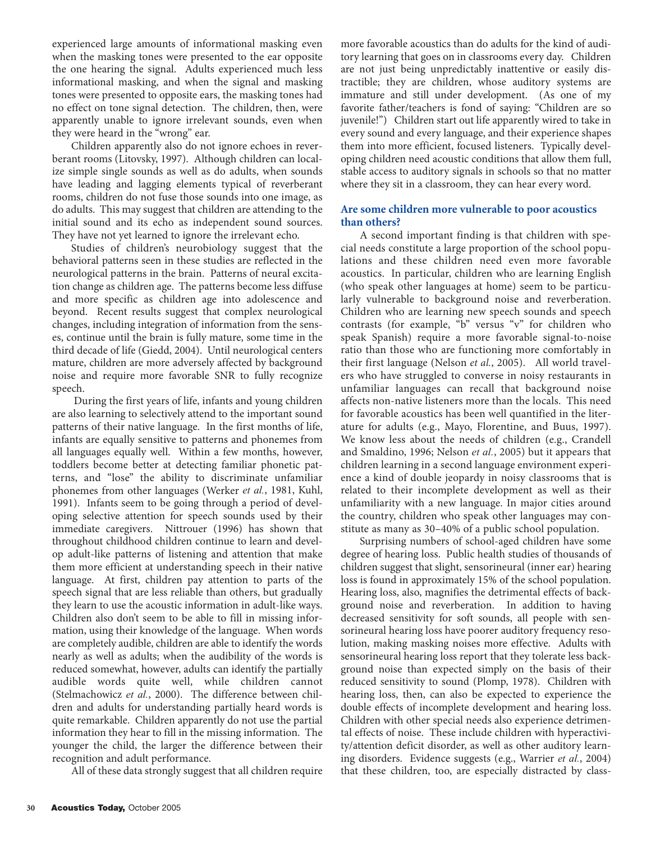experienced large amounts of informational masking even when the masking tones were presented to the ear opposite the one hearing the signal. Adults experienced much less informational masking, and when the signal and masking tones were presented to opposite ears, the masking tones had no effect on tone signal detection. The children, then, were apparently unable to ignore irrelevant sounds, even when they were heard in the "wrong" ear.

Children apparently also do not ignore echoes in reverberant rooms (Litovsky, 1997). Although children can localize simple single sounds as well as do adults, when sounds have leading and lagging elements typical of reverberant rooms, children do not fuse those sounds into one image, as do adults. This may suggest that children are attending to the initial sound and its echo as independent sound sources. They have not yet learned to ignore the irrelevant echo.

Studies of children's neurobiology suggest that the behavioral patterns seen in these studies are reflected in the neurological patterns in the brain. Patterns of neural excitation change as children age. The patterns become less diffuse and more specific as children age into adolescence and beyond. Recent results suggest that complex neurological changes, including integration of information from the senses, continue until the brain is fully mature, some time in the third decade of life (Giedd, 2004). Until neurological centers mature, children are more adversely affected by background noise and require more favorable SNR to fully recognize speech.

During the first years of life, infants and young children are also learning to selectively attend to the important sound patterns of their native language. In the first months of life, infants are equally sensitive to patterns and phonemes from all languages equally well. Within a few months, however, toddlers become better at detecting familiar phonetic patterns, and "lose" the ability to discriminate unfamiliar phonemes from other languages (Werker *et al.*, 1981, Kuhl, 1991). Infants seem to be going through a period of developing selective attention for speech sounds used by their immediate caregivers. Nittrouer (1996) has shown that throughout childhood children continue to learn and develop adult-like patterns of listening and attention that make them more efficient at understanding speech in their native language. At first, children pay attention to parts of the speech signal that are less reliable than others, but gradually they learn to use the acoustic information in adult-like ways. Children also don't seem to be able to fill in missing information, using their knowledge of the language. When words are completely audible, children are able to identify the words nearly as well as adults; when the audibility of the words is reduced somewhat, however, adults can identify the partially audible words quite well, while children cannot (Stelmachowicz *et al.*, 2000). The difference between children and adults for understanding partially heard words is quite remarkable. Children apparently do not use the partial information they hear to fill in the missing information. The younger the child, the larger the difference between their recognition and adult performance.

All of these data strongly suggest that all children require

more favorable acoustics than do adults for the kind of auditory learning that goes on in classrooms every day. Children are not just being unpredictably inattentive or easily distractible; they are children, whose auditory systems are immature and still under development. (As one of my favorite father/teachers is fond of saying: "Children are so juvenile!") Children start out life apparently wired to take in every sound and every language, and their experience shapes them into more efficient, focused listeners. Typically developing children need acoustic conditions that allow them full, stable access to auditory signals in schools so that no matter where they sit in a classroom, they can hear every word.

# **Are some children more vulnerable to poor acoustics than others?**

A second important finding is that children with special needs constitute a large proportion of the school populations and these children need even more favorable acoustics. In particular, children who are learning English (who speak other languages at home) seem to be particularly vulnerable to background noise and reverberation. Children who are learning new speech sounds and speech contrasts (for example, "b" versus "v" for children who speak Spanish) require a more favorable signal-to-noise ratio than those who are functioning more comfortably in their first language (Nelson *et al.*, 2005). All world travelers who have struggled to converse in noisy restaurants in unfamiliar languages can recall that background noise affects non-native listeners more than the locals. This need for favorable acoustics has been well quantified in the literature for adults (e.g., Mayo, Florentine, and Buus, 1997). We know less about the needs of children (e.g., Crandell and Smaldino, 1996; Nelson *et al.*, 2005) but it appears that children learning in a second language environment experience a kind of double jeopardy in noisy classrooms that is related to their incomplete development as well as their unfamiliarity with a new language. In major cities around the country, children who speak other languages may constitute as many as 30–40% of a public school population.

Surprising numbers of school-aged children have some degree of hearing loss. Public health studies of thousands of children suggest that slight, sensorineural (inner ear) hearing loss is found in approximately 15% of the school population. Hearing loss, also, magnifies the detrimental effects of background noise and reverberation. In addition to having decreased sensitivity for soft sounds, all people with sensorineural hearing loss have poorer auditory frequency resolution, making masking noises more effective. Adults with sensorineural hearing loss report that they tolerate less background noise than expected simply on the basis of their reduced sensitivity to sound (Plomp, 1978). Children with hearing loss, then, can also be expected to experience the double effects of incomplete development and hearing loss. Children with other special needs also experience detrimental effects of noise. These include children with hyperactivity/attention deficit disorder, as well as other auditory learning disorders. Evidence suggests (e.g., Warrier *et al.*, 2004) that these children, too, are especially distracted by class-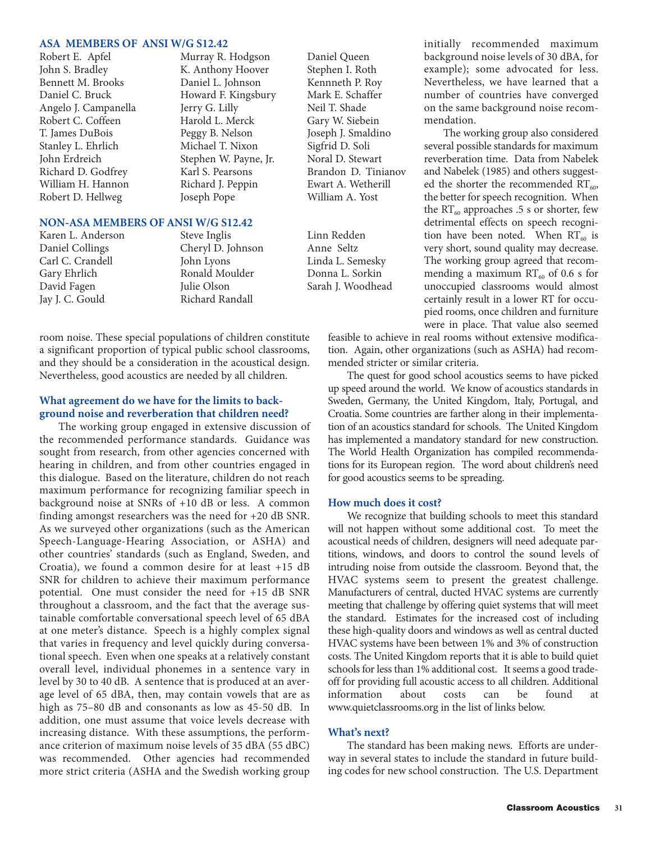# **ASA MEMBERS OF ANSI W/G S12.42**

John S. Bradley **K. Anthony Hoover** Stephen I. Roth Bennett M. Brooks Daniel L. Johnson Kennneth P. Roy Daniel C. Bruck Howard F. Kingsbury Mark E. Schaffer Angelo J. Campanella Jerry G. Lilly Neil T. Shade<br>
Robert C. Coffeen Harold L. Merck Gary W. Siebein Robert C. Coffeen Harold L. Merck T. James DuBois Peggy B. Nelson Joseph J. Smaldino Stanley L. Ehrlich Michael T. Nixon Sigfrid D. Soli John Erdreich Stephen W. Payne, Jr. Noral D. Stewart William H. Hannon Richard J. Peppin Ewart A. Wetherill Robert D. Hellweg **State Joseph Pope** William A. Yost

Murray R. Hodgson Daniel Queen

#### **NON-ASA MEMBERS OF ANSI W/G S12.42**

Jay J. C. Gould Richard Randall

Karen L. Anderson Steve Inglis Linn Redden Daniel Collings Cheryl D. Johnson Anne Seltz Carl C. Crandell John Lyons Linda L. Semesky Gary Ehrlich Ronald Moulder Donna L. Sorkin David Fagen Markette Julie Olson Sarah J. Woodhead

room noise. These special populations of children constitute a significant proportion of typical public school classrooms, and they should be a consideration in the acoustical design. Nevertheless, good acoustics are needed by all children.

### **What agreement do we have for the limits to background noise and reverberation that children need?**

The working group engaged in extensive discussion of the recommended performance standards. Guidance was sought from research, from other agencies concerned with hearing in children, and from other countries engaged in this dialogue. Based on the literature, children do not reach maximum performance for recognizing familiar speech in background noise at SNRs of +10 dB or less. A common finding amongst researchers was the need for +20 dB SNR. As we surveyed other organizations (such as the American Speech-Language-Hearing Association, or ASHA) and other countries' standards (such as England, Sweden, and Croatia), we found a common desire for at least +15 dB SNR for children to achieve their maximum performance potential. One must consider the need for +15 dB SNR throughout a classroom, and the fact that the average sustainable comfortable conversational speech level of 65 dBA at one meter's distance. Speech is a highly complex signal that varies in frequency and level quickly during conversational speech. Even when one speaks at a relatively constant overall level, individual phonemes in a sentence vary in level by 30 to 40 dB. A sentence that is produced at an average level of 65 dBA, then, may contain vowels that are as high as 75–80 dB and consonants as low as 45-50 dB. In addition, one must assume that voice levels decrease with increasing distance. With these assumptions, the performance criterion of maximum noise levels of 35 dBA (55 dBC) was recommended. Other agencies had recommended more strict criteria (ASHA and the Swedish working group

Richard D. Godfrey Karl S. Pearsons Brandon D. Tinianov

initially recommended maximum background noise levels of 30 dBA, for example); some advocated for less. Nevertheless, we have learned that a number of countries have converged on the same background noise recommendation.

The working group also considered several possible standards for maximum reverberation time. Data from Nabelek and Nabelek (1985) and others suggested the shorter the recommended  $RT_{60}$ , the better for speech recognition. When the  $RT_{60}$  approaches .5 s or shorter, few detrimental effects on speech recognition have been noted. When  $RT_{60}$  is very short, sound quality may decrease. The working group agreed that recommending a maximum  $RT_{60}$  of 0.6 s for unoccupied classrooms would almost certainly result in a lower RT for occupied rooms, once children and furniture were in place. That value also seemed

feasible to achieve in real rooms without extensive modification. Again, other organizations (such as ASHA) had recommended stricter or similar criteria.

The quest for good school acoustics seems to have picked up speed around the world. We know of acoustics standards in Sweden, Germany, the United Kingdom, Italy, Portugal, and Croatia. Some countries are farther along in their implementation of an acoustics standard for schools. The United Kingdom has implemented a mandatory standard for new construction. The World Health Organization has compiled recommendations for its European region. The word about children's need for good acoustics seems to be spreading.

### **How much does it cost?**

We recognize that building schools to meet this standard will not happen without some additional cost. To meet the acoustical needs of children, designers will need adequate partitions, windows, and doors to control the sound levels of intruding noise from outside the classroom. Beyond that, the HVAC systems seem to present the greatest challenge. Manufacturers of central, ducted HVAC systems are currently meeting that challenge by offering quiet systems that will meet the standard. Estimates for the increased cost of including these high-quality doors and windows as well as central ducted HVAC systems have been between 1% and 3% of construction costs. The United Kingdom reports that it is able to build quiet schools for less than 1% additional cost. It seems a good tradeoff for providing full acoustic access to all children. Additional information about costs can be found at www.quietclassrooms.org in the list of links below.

#### **What's next?**

The standard has been making news. Efforts are underway in several states to include the standard in future building codes for new school construction. The U.S. Department